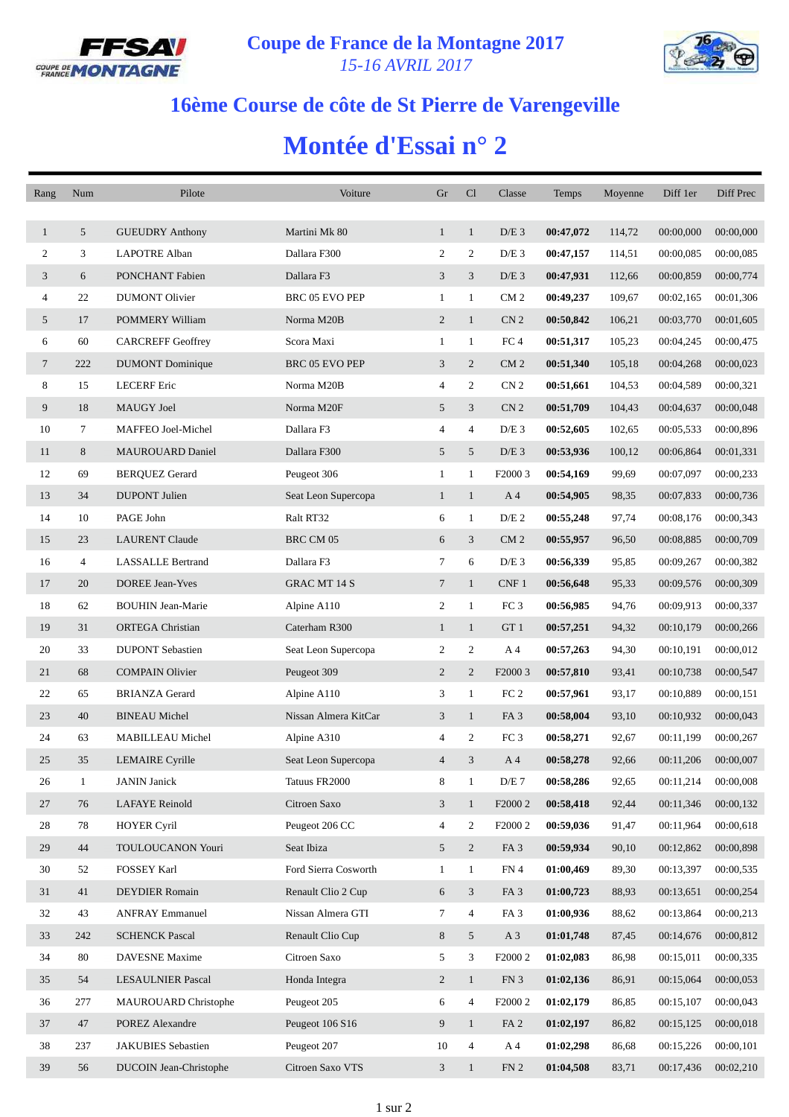



## **16ème Course de côte de St Pierre de Varengeville**

## **Montée d'Essai n° 2**

| Rang           | Num            | Pilote                   | Voiture               | Gr                       | Cl             | Classe              | Temps     | Moyenne | Diff 1er  | Diff Prec |
|----------------|----------------|--------------------------|-----------------------|--------------------------|----------------|---------------------|-----------|---------|-----------|-----------|
|                |                |                          |                       |                          |                |                     |           |         |           |           |
| $\mathbf{1}$   | 5              | <b>GUEUDRY Anthony</b>   | Martini Mk 80         | $\mathbf{1}$             | $\mathbf{1}$   | $D/E$ 3             | 00:47,072 | 114,72  | 00:00,000 | 00:00,000 |
| 2              | 3              | <b>LAPOTRE Alban</b>     | Dallara F300          | 2                        | 2              | $D/E$ 3             | 00:47,157 | 114,51  | 00:00.085 | 00:00,085 |
| 3              | 6              | PONCHANT Fabien          | Dallara F3            | 3                        | 3              | $D/E$ 3             | 00:47,931 | 112,66  | 00:00,859 | 00:00,774 |
| $\overline{4}$ | 22             | <b>DUMONT</b> Olivier    | BRC 05 EVO PEP        | $\mathbf{1}$             | $\mathbf{1}$   | CM <sub>2</sub>     | 00:49,237 | 109,67  | 00:02,165 | 00:01,306 |
| 5              | 17             | POMMERY William          | Norma M20B            | $\overline{c}$           | $\mathbf{1}$   | CN <sub>2</sub>     | 00:50,842 | 106,21  | 00:03,770 | 00:01,605 |
| 6              | 60             | <b>CARCREFF Geoffrey</b> | Scora Maxi            | $\mathbf{1}$             | $\mathbf{1}$   | FC <sub>4</sub>     | 00:51,317 | 105,23  | 00:04,245 | 00:00,475 |
| 7              | 222            | <b>DUMONT</b> Dominique  | <b>BRC 05 EVO PEP</b> | 3                        | 2              | CM <sub>2</sub>     | 00:51,340 | 105,18  | 00:04,268 | 00:00,023 |
| 8              | 15             | <b>LECERF</b> Eric       | Norma M20B            | 4                        | $\overline{2}$ | CN <sub>2</sub>     | 00:51,661 | 104,53  | 00:04,589 | 00:00,321 |
| 9              | 18             | MAUGY Joel               | Norma M20F            | 5                        | 3              | CN <sub>2</sub>     | 00:51,709 | 104,43  | 00:04,637 | 00:00,048 |
| 10             | 7              | MAFFEO Joel-Michel       | Dallara F3            | 4                        | $\overline{4}$ | $D/E$ 3             | 00:52,605 | 102,65  | 00:05,533 | 00:00,896 |
| 11             | 8              | <b>MAUROUARD Daniel</b>  | Dallara F300          | 5                        | 5              | $D/E$ 3             | 00:53,936 | 100,12  | 00:06,864 | 00:01,331 |
| 12             | 69             | <b>BERQUEZ Gerard</b>    | Peugeot 306           | $\mathbf{1}$             | $\mathbf{1}$   | F <sub>2000</sub> 3 | 00:54,169 | 99,69   | 00:07,097 | 00:00,233 |
| 13             | 34             | <b>DUPONT</b> Julien     | Seat Leon Supercopa   | $\mathbf{1}$             | $\mathbf{1}$   | A 4                 | 00:54,905 | 98,35   | 00:07,833 | 00:00,736 |
| 14             | 10             | PAGE John                | Ralt RT32             | 6                        | $\mathbf{1}$   | D/E <sub>2</sub>    | 00:55,248 | 97,74   | 00:08,176 | 00:00,343 |
| 15             | 23             | <b>LAURENT Claude</b>    | BRC CM 05             | 6                        | 3              | CM <sub>2</sub>     | 00:55,957 | 96,50   | 00:08,885 | 00:00,709 |
| 16             | $\overline{4}$ | <b>LASSALLE Bertrand</b> | Dallara F3            | $\tau$                   | 6              | $D/E$ 3             | 00:56,339 | 95,85   | 00:09,267 | 00:00,382 |
| 17             | 20             | <b>DOREE Jean-Yves</b>   | GRAC MT 14 S          | $\tau$                   | $\mathbf{1}$   | CNF 1               | 00:56,648 | 95,33   | 00:09,576 | 00:00,309 |
| 18             | 62             | <b>BOUHIN Jean-Marie</b> | Alpine A110           | 2                        | $\mathbf{1}$   | FC <sub>3</sub>     | 00:56,985 | 94,76   | 00:09,913 | 00:00,337 |
| 19             | 31             | <b>ORTEGA</b> Christian  | Caterham R300         | $\mathbf{1}$             | $\mathbf{1}$   | GT 1                | 00:57,251 | 94,32   | 00:10,179 | 00:00,266 |
| 20             | 33             | <b>DUPONT Sebastien</b>  | Seat Leon Supercopa   | $\overline{c}$           | 2              | A 4                 | 00:57,263 | 94,30   | 00:10,191 | 00:00,012 |
| 21             | 68             | <b>COMPAIN Olivier</b>   | Peugeot 309           | $\overline{c}$           | $\overline{2}$ | F <sub>2000</sub> 3 | 00:57,810 | 93,41   | 00:10,738 | 00:00,547 |
| 22             | 65             | <b>BRIANZA</b> Gerard    | Alpine A110           | 3                        | $\mathbf{1}$   | FC <sub>2</sub>     | 00:57,961 | 93,17   | 00:10,889 | 00:00,151 |
| 23             | 40             | <b>BINEAU</b> Michel     | Nissan Almera KitCar  | 3                        | $\mathbf{1}$   | FA <sub>3</sub>     | 00:58,004 | 93,10   | 00:10,932 | 00:00,043 |
| 24             | 63             | MABILLEAU Michel         | Alpine A310           | 4                        | 2              | FC <sub>3</sub>     | 00:58,271 | 92,67   | 00:11,199 | 00:00,267 |
| 25             | 35             | <b>LEMAIRE</b> Cyrille   | Seat Leon Supercopa   | $\overline{4}$           | 3              | A <sub>4</sub>      | 00:58,278 | 92,66   | 00:11,206 | 00:00,007 |
| 26             | $\mathbf{1}$   | <b>JANIN</b> Janick      | Tatuus FR2000         | 8                        | $\mathbf{1}$   | D/E 7               | 00:58,286 | 92,65   | 00:11,214 | 00:00,008 |
| 27             | 76             | <b>LAFAYE</b> Reinold    | Citroen Saxo          | 3                        | $\mathbf{1}$   | F2000 2             | 00:58,418 | 92,44   | 00:11,346 | 00:00,132 |
| 28             | 78             | <b>HOYER Cyril</b>       | Peugeot 206 CC        | $\overline{\mathcal{A}}$ | 2              | F2000 2             | 00:59,036 | 91,47   | 00:11,964 | 00:00,618 |
| 29             | 44             | TOULOUCANON Youri        | Seat Ibiza            | 5                        | $\overline{2}$ | FA <sub>3</sub>     | 00:59,934 | 90,10   | 00:12,862 | 00:00,898 |
| 30             | 52             | FOSSEY Karl              | Ford Sierra Cosworth  | $\mathbf{1}$             | $\mathbf{1}$   | FN 4                | 01:00,469 | 89,30   | 00:13,397 | 00:00,535 |
| 31             | 41             | <b>DEYDIER Romain</b>    | Renault Clio 2 Cup    | 6                        | 3              | FA <sub>3</sub>     | 01:00,723 | 88,93   | 00:13,651 | 00:00,254 |
| 32             | 43             | <b>ANFRAY Emmanuel</b>   | Nissan Almera GTI     | 7                        | $\overline{4}$ | FA <sub>3</sub>     | 01:00,936 | 88,62   | 00:13,864 | 00:00,213 |
| 33             | 242            | <b>SCHENCK Pascal</b>    | Renault Clio Cup      | 8                        | 5              | $A_3$               | 01:01,748 | 87,45   | 00:14,676 | 00:00,812 |
| 34             | 80             | DAVESNE Maxime           | Citroen Saxo          | 5                        | 3              | F <sub>2000</sub> 2 | 01:02,083 | 86,98   | 00:15,011 | 00:00,335 |
| 35             | 54             | <b>LESAULNIER Pascal</b> | Honda Integra         | $\overline{c}$           | $\mathbf{1}$   | FN 3                | 01:02,136 | 86,91   | 00:15,064 | 00:00,053 |
| 36             | 277            | MAUROUARD Christophe     | Peugeot 205           | 6                        | 4              | F <sub>2000</sub> 2 | 01:02,179 | 86,85   | 00:15,107 | 00:00,043 |
| 37             | 47             | <b>POREZ Alexandre</b>   | Peugeot 106 S16       | 9                        | $\mathbf{1}$   | FA <sub>2</sub>     | 01:02,197 | 86,82   | 00:15,125 | 00:00,018 |
| 38             | 237            | JAKUBIES Sebastien       | Peugeot 207           | 10                       | 4              | A 4                 | 01:02,298 | 86,68   | 00:15,226 | 00:00,101 |
| 39             | 56             | DUCOIN Jean-Christophe   | Citroen Saxo VTS      | 3                        | $\mathbf{1}$   | FN <sub>2</sub>     | 01:04,508 | 83,71   | 00:17,436 | 00:02,210 |